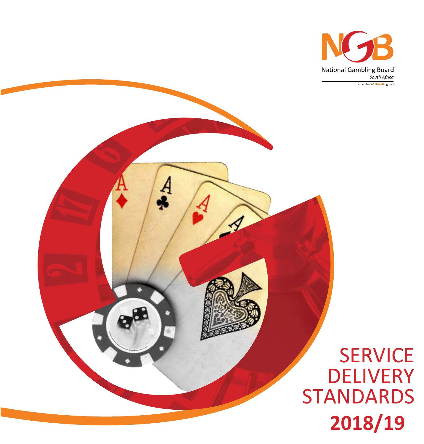

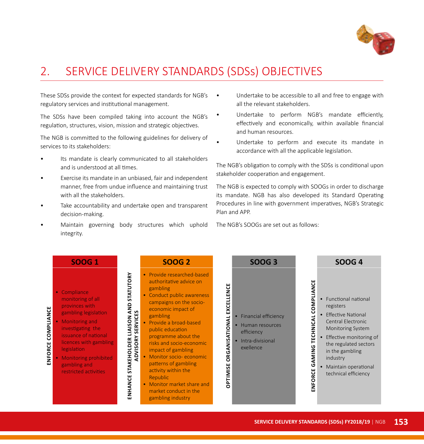

## 2. SERVICE DELIVERY STANDARDS (SDSs) OBJECTIVES

These SDSs provide the context for expected standards for NGB's regulatory services and institutional management.

The SDSs have been compiled taking into account the NGB's regulation, structures, vision, mission and strategic objectives.

The NGB is committed to the following guidelines for delivery of services to its stakeholders:

- Its mandate is clearly communicated to all stakeholders and is understood at all times.
- Exercise its mandate in an unbiased, fair and independent manner, free from undue influence and maintaining trust with all the stakeholders.
- Take accountability and undertake open and transparent decision-making.
- Maintain governing body structures which uphold integrity.
- Undertake to be accessible to all and free to engage with all the relevant stakeholders.
- Undertake to perform NGB's mandate efficiently, effectively and economically, within available financial and human resources.
- Undertake to perform and execute its mandate in accordance with all the applicable legislation.

The NGB's obligation to comply with the SDSs is conditional upon stakeholder cooperation and engagement.

The NGB is expected to comply with SOOGs in order to discharge its mandate. NGB has also developed its Standard Operating Procedures in line with government imperatives, NGB's Strategic Plan and APP.

The NGB's SOOGs are set out as follows:

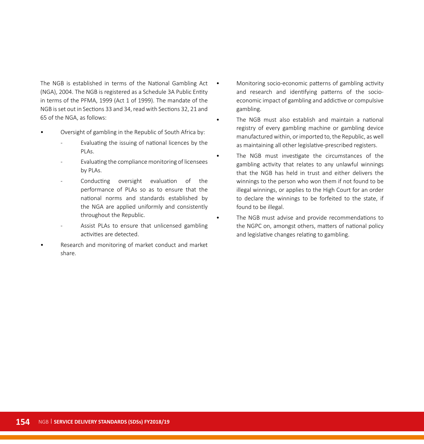The NGB is established in terms of the National Gambling Act (NGA), 2004. The NGB is registered as a Schedule 3A Public Entity in terms of the PFMA, 1999 (Act 1 of 1999). The mandate of the NGB is set out in Sections 33 and 34, read with Sections 32, 21 and 65 of the NGA, as follows:

- Oversight of gambling in the Republic of South Africa by:
	- Evaluating the issuing of national licences by the PLAs.
	- Evaluating the compliance monitoring of licensees by PLAs.
	- Conducting oversight evaluation of the performance of PLAs so as to ensure that the national norms and standards established by the NGA are applied uniformly and consistently throughout the Republic.
	- Assist PLAs to ensure that unlicensed gambling activities are detected.
- Research and monitoring of market conduct and market share.
- Monitoring socio-economic patterns of gambling activity and research and identifying patterns of the socioeconomic impact of gambling and addictive or compulsive gambling.
- The NGB must also establish and maintain a national registry of every gambling machine or gambling device manufactured within, or imported to, the Republic, as well as maintaining all other legislative-prescribed registers.
- The NGB must investigate the circumstances of the gambling activity that relates to any unlawful winnings that the NGB has held in trust and either delivers the winnings to the person who won them if not found to be illegal winnings, or applies to the High Court for an order to declare the winnings to be forfeited to the state, if found to be illegal.
- The NGB must advise and provide recommendations to the NGPC on, amongst others, matters of national policy and legislative changes relating to gambling.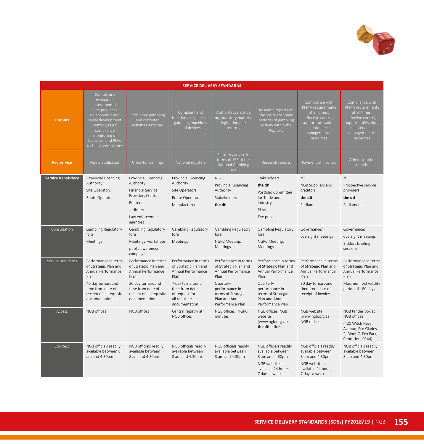

| <b>SERVICE DELIVERY STANDARDS</b> |                                                                                                                                                                                                       |                                                                                                                                                                    |                                                                                                                                                                       |                                                                                                                                                                         |                                                                                                                                                                         |                                                                                                                                                    |                                                                                                                                                    |  |  |  |  |
|-----------------------------------|-------------------------------------------------------------------------------------------------------------------------------------------------------------------------------------------------------|--------------------------------------------------------------------------------------------------------------------------------------------------------------------|-----------------------------------------------------------------------------------------------------------------------------------------------------------------------|-------------------------------------------------------------------------------------------------------------------------------------------------------------------------|-------------------------------------------------------------------------------------------------------------------------------------------------------------------------|----------------------------------------------------------------------------------------------------------------------------------------------------|----------------------------------------------------------------------------------------------------------------------------------------------------|--|--|--|--|
| <b>Outputs</b>                    | Compliance<br>evaluation<br>assessment of<br>nine provinces<br>on economic and<br>social development<br>matters; PLAs'<br>compliance<br>monitoring of<br>licensees; and PLAs'<br>technical compliance | Prohibited gambling<br>and restricted<br>activities detected                                                                                                       | Compliant and<br>functional register for<br>gambling machines<br>and devices                                                                                          | Authoritative advice<br>on, statutory matters,<br>legislation and<br>reforms                                                                                            | Research reports on<br>the socio-economic<br>patterns of gambling<br>activity within the<br>Republic                                                                    | Compliance with<br>PFMA requirements<br>at all times;<br>effective control,<br>support, utilisation,<br>maintenance,<br>management of<br>resources | Compliance with<br>PFMA requirements<br>at all times;<br>effective control,<br>support, utilisation,<br>maintenance,<br>management of<br>resources |  |  |  |  |
| <b>Key service</b>                | Type B application                                                                                                                                                                                    | Unlawful winnings                                                                                                                                                  | National registers                                                                                                                                                    | Statutory advice in<br>terms of S65 of the<br><b>National Gambling</b><br>Act                                                                                           | Research reports                                                                                                                                                        | Payment of invoices                                                                                                                                | Administration<br>of bids                                                                                                                          |  |  |  |  |
| <b>Service Beneficiary</b>        | Provincial Licencing<br>Authority<br>Site Operators<br>Route Operators                                                                                                                                | Provincial Licencing<br>Authority<br><b>Financial Service</b><br>Providers (Banks)<br>Punters<br>Judiciary<br>Law enforcement<br>agencies                          | Provincial Licencing<br>Authority<br>Site Operators<br>Route Operators<br>Manufacturers                                                                               | <b>NGPC</b><br>Provincial Licencing<br>Authority<br>Stakeholders<br>the dti                                                                                             | Stakeholders<br>the dti<br>Portfolio Committee<br>for Trade and<br>Industry<br>PLAs<br>The public                                                                       | <b>NT</b><br>NGB Suppliers and<br>creditors<br>the dti<br>Parliament                                                                               | <b>NT</b><br>Prospective service<br>providers<br>the dti<br>Parliament                                                                             |  |  |  |  |
| Consultation                      | Gambling Regulatory<br>fora<br>Meetings                                                                                                                                                               | <b>Gambling Regulatory</b><br>fora<br>Meetings, workshops<br>public awareness<br>campaigns                                                                         | Gambling Regulatory<br>fora<br>Meetings                                                                                                                               | Gambling Regulatory<br>fora<br>NGPC Meeting,<br>Meetings                                                                                                                | <b>Gambling Regulatory</b><br>fora<br>NGPC Meeting,<br>Meetings                                                                                                         | Governance/<br>oversight meetings                                                                                                                  | Governance/<br>oversight meetings<br><b>Bidders briefing</b><br>sessions                                                                           |  |  |  |  |
| Service standards                 | Performance in terms<br>of Strategic Plan and<br>Annual Performance<br>Plan<br>40 day turnaround<br>time from date of<br>receipt of all requisite<br>documentation                                    | Performance in terms<br>of Strategic Plan and<br>Annual Performance<br>Plan<br>30 day turnaround<br>time from date of<br>receipt of all requisite<br>documentation | Performance in terms<br>of Strategic Plan and<br>Annual Performance<br>Plan<br>7 day turnaround<br>time from date<br>of request for<br>all requisite<br>documentation | Performance in terms<br>of Strategic Plan and<br>Annual Performance<br>Plan<br>Quarterly<br>performance in<br>terms of Strategic<br>Plan and Annual<br>Performance Plan | Performance in terms<br>of Strategic Plan and<br>Annual Performance<br>Plan<br>Quarterly<br>performance in<br>terms of Strategic<br>Plan and Annual<br>Performance Plan | Performance in terms<br>of Strategic Plan and<br>Annual Performance<br>Plan<br>30 day turnaround<br>time from date of<br>receipt of invoice        | Performance in terms<br>of Strategic Plan and<br>Annual Performance<br>Plan<br>Maximum bid validity<br>period of 180 days                          |  |  |  |  |
| Access                            | NGB offices                                                                                                                                                                                           | NGB offices                                                                                                                                                        | Central registry at<br>NGB offices                                                                                                                                    | NGB offices, NGPC<br>minutes                                                                                                                                            | NGB offices, NGB<br>website<br>(www.ngb.org.za),<br>the dti offices                                                                                                     | NGB website<br>(www.ngb.org.za),<br>NGB offices                                                                                                    | NGB tender box at<br>NGB offices<br>(420 Witch Hazel<br>Avenue, Eco Glades<br>2, Block C, Eco Park,<br>Centurion, 0144)                            |  |  |  |  |
| Courtesy                          | NGB officials readily<br>available between 8<br>am and 4.30pm                                                                                                                                         | NGB officials readily<br>available between<br>8 am and 4.30pm                                                                                                      | NGB officials readily<br>available between<br>8 am and 4.30pm                                                                                                         | NGB officials readily<br>available between<br>8 am and 4.30pm                                                                                                           | NGB officials readily<br>available between<br>8 am and 4.30pm<br>NGB website is<br>available 24 hours.<br>7 days a week                                                 | NGB officials readily<br>available between<br>8 am and 4.30pm<br>NGB website is<br>available 24 hours.<br>7 days a week                            | NGB officials readily<br>available between<br>8 am and 4.30pm                                                                                      |  |  |  |  |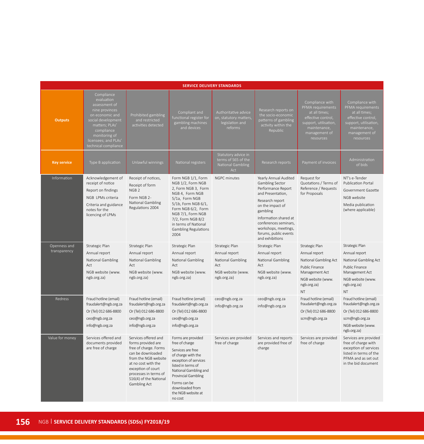| <b>SERVICE DELIVERY STANDARDS</b> |                                                                                                                                                                                                       |                                                                                                                                                                                                                                  |                                                                                                                                                                                                                                                           |                                                                                                 |                                                                                                                                                                                                                                                              |                                                                                                                                                    |                                                                                                                                                    |  |  |  |  |  |
|-----------------------------------|-------------------------------------------------------------------------------------------------------------------------------------------------------------------------------------------------------|----------------------------------------------------------------------------------------------------------------------------------------------------------------------------------------------------------------------------------|-----------------------------------------------------------------------------------------------------------------------------------------------------------------------------------------------------------------------------------------------------------|-------------------------------------------------------------------------------------------------|--------------------------------------------------------------------------------------------------------------------------------------------------------------------------------------------------------------------------------------------------------------|----------------------------------------------------------------------------------------------------------------------------------------------------|----------------------------------------------------------------------------------------------------------------------------------------------------|--|--|--|--|--|
| <b>Outputs</b>                    | Compliance<br>evaluation<br>assessment of<br>nine provinces<br>on economic and<br>social development<br>matters; PLAs'<br>compliance<br>monitoring of<br>licensees; and PLAs'<br>technical compliance | Prohibited gambling<br>and restricted<br>activities detected                                                                                                                                                                     | Compliant and<br>functional register for<br>gambling machines<br>and devices                                                                                                                                                                              | Authoritative advice<br>on, statutory matters,<br>legislation and<br>reforms                    | Research reports on<br>the socio-economic<br>patterns of gambling<br>activity within the<br>Republic                                                                                                                                                         | Compliance with<br>PFMA requirements<br>at all times;<br>effective control,<br>support, utilisation,<br>maintenance,<br>management of<br>resources | Compliance with<br>PFMA requirements<br>at all times;<br>effective control,<br>support, utilisation,<br>maintenance,<br>management of<br>resources |  |  |  |  |  |
| <b>Key service</b>                | Type B application                                                                                                                                                                                    | Unlawful winnings                                                                                                                                                                                                                | National registers                                                                                                                                                                                                                                        | Statutory advice in<br>terms of S65 of the<br>National Gambling<br>Act                          | Research reports                                                                                                                                                                                                                                             | Payment of invoices                                                                                                                                | Administration<br>of bids                                                                                                                          |  |  |  |  |  |
| Information                       | Acknowledgement of<br>receipt of notice<br>Report on findings<br>NGB LPMs criteria<br>Criteria and guidance<br>notes for the<br>licencing of LPMs                                                     | Receipt of notices,<br>Receipt of form<br>NGB <sub>2</sub><br>Form NGB 2-<br>National Gambling<br>Regulations 2004                                                                                                               | Form NGB 1/1, Form<br>NGB 1/2, Form NGB<br>2, Form NGB 3, Form<br>NGB 4, Form NGB<br>5/1a, Form NGB<br>5/1b, Form NGB 6/1,<br>Form NGB 6/2, Form<br>NGB 7/1, Form NGB<br>7/2, Form NGB 8/2<br>in terms of National<br><b>Gambling Regulations</b><br>2004 | <b>NGPC</b> minutes                                                                             | Yearly Annual Audited<br>Gambling Sector<br>Performance Report<br>and Presentation,<br>Research report<br>on the impact of<br>gambling<br>Information shared at<br>conferences seminars,<br>workshops, meetings,<br>forums, public events<br>and exhibitions | Request for<br>Quotations / Terms of<br>Reference / Requests<br>for Proposals                                                                      | NT's e-Tender<br>Publication Portal<br>Government Gazette<br>NGB website<br>Media publication<br>(where applicable)                                |  |  |  |  |  |
| Openness and<br>transparency      | Strategic Plan<br>Annual report<br>National Gambling<br>Act<br>NGB website (www.<br>ngb.org.za)                                                                                                       | Strategic Plan<br>Annual report<br>National Gambling<br>Act<br>NGB website (www.<br>ngb.org.za)                                                                                                                                  | Strategic Plan<br>Annual report<br>National Gambling<br>Act<br>NGB website (www.<br>ngb.org.za)                                                                                                                                                           | Strategic Plan<br>Annual report<br>National Gambling<br>Act<br>NGB website (www.<br>ngb.org.za) | Strategic Plan<br>Annual report<br>National Gambling<br>Act<br>NGB website (www.<br>ngb.org.za)                                                                                                                                                              | Strategic Plan<br>Annual report<br>National Gambling Act<br>Public Finance<br>Management Act<br>NGB website (www.<br>ngb.org.za)<br>NT             | Strategic Plan<br>Annual report<br>National Gambling Act<br>Public Finance<br>Management Act<br>NGB website (www.<br>ngb.org.za)<br><b>NT</b>      |  |  |  |  |  |
| Redress                           | Fraud hotline (email)<br>fraudalert@ngb.org.za<br>Or (Tel) 012 686-8800<br>ceo@ngb.org.za<br>info@ngb.org.za                                                                                          | Fraud hotline (email)<br>fraudalert@ngb.org.za<br>Or (Tel) 012 686-8800<br>ceo@ngb.org.za<br>info@ngb.org.za                                                                                                                     | Fraud hotline (email)<br>fraudalert@ngb.org.za<br>Or (Tel) 012 686-8800<br>ceo@ngb.org.za<br>info@ngb.org.za                                                                                                                                              | ceo@ngb.org.za<br>info@ngb.org.za                                                               | ceo@ngb.org.za<br>info@ngb.org.za                                                                                                                                                                                                                            | Fraud hotline (email)<br>fraudalert@ngb.org.za<br>Or (Tel) 012 686-8800<br>scm@ngb.org.za                                                          | Fraud hotline (email)<br>fraudalert@ngb.org.za<br>Or (Tel) 012 686-8800<br>scm@ngb.org.za<br>NGB website (www.<br>ngb.org.za)                      |  |  |  |  |  |
| Value for money                   | Services offered and<br>documents provided<br>are free of charge                                                                                                                                      | Services offered and<br>forms provided are<br>free of charge. Forms<br>can be downloaded<br>from the NGB website<br>at no cost with the<br>exception of court<br>processes in terms of<br>S16(4) of the National<br>Gambling Act | Forms are provided<br>free of charge<br>Services are free<br>of charge with the<br>exception of services<br>listed in terms of<br>National Gambling and<br>Provincial Gambling<br>Forms can be<br>downloaded from<br>the NGB website at<br>no cost        | Services are provided<br>free of charge                                                         | Services and reports<br>are provided free of<br>charge                                                                                                                                                                                                       | Services are provided<br>free of charge                                                                                                            | Services are provided<br>free of charge with<br>exception of services<br>listed in terms of the<br>PFMA and as set out<br>in the bid document      |  |  |  |  |  |